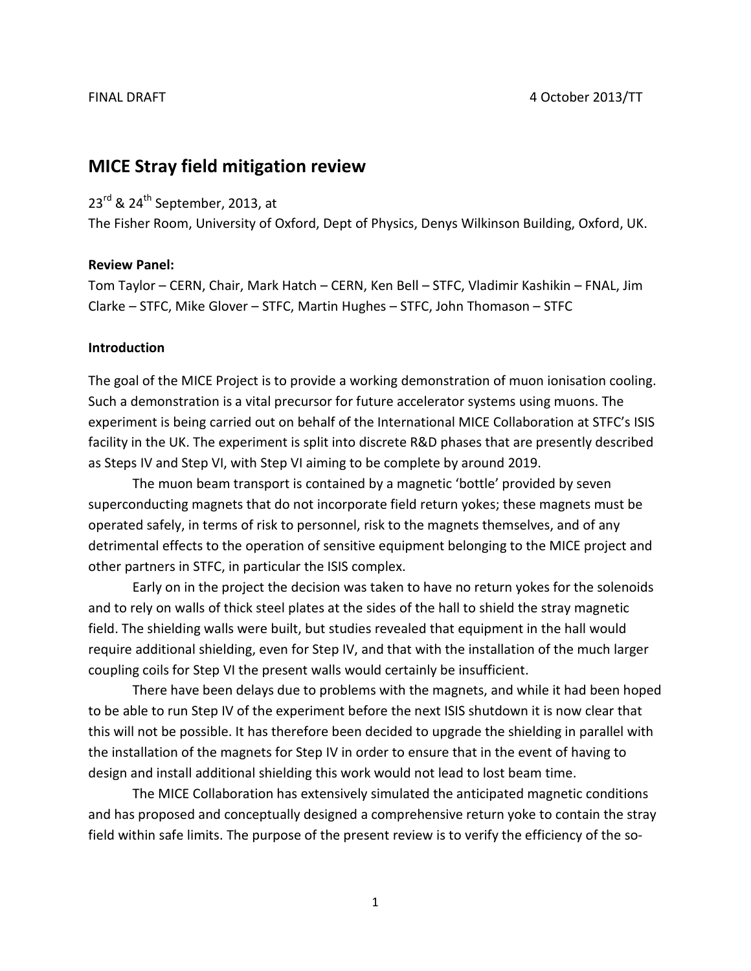# **MICE Stray field mitigation review**

# 23<sup>rd</sup> & 24<sup>th</sup> September, 2013, at

The Fisher Room, University of Oxford, Dept of Physics, Denys Wilkinson Building, Oxford, UK.

#### **Review Panel:**

Tom Taylor – CERN, Chair, Mark Hatch – CERN, Ken Bell – STFC, Vladimir Kashikin – FNAL, Jim Clarke – STFC, Mike Glover – STFC, Martin Hughes – STFC, John Thomason – STFC

### **Introduction**

The goal of the MICE Project is to provide a working demonstration of muon ionisation cooling. Such a demonstration is a vital precursor for future accelerator systems using muons. The experiment is being carried out on behalf of the International MICE Collaboration at STFC's ISIS facility in the UK. The experiment is split into discrete R&D phases that are presently described as Steps IV and Step VI, with Step VI aiming to be complete by around 2019.

The muon beam transport is contained by a magnetic 'bottle' provided by seven superconducting magnets that do not incorporate field return yokes; these magnets must be operated safely, in terms of risk to personnel, risk to the magnets themselves, and of any detrimental effects to the operation of sensitive equipment belonging to the MICE project and other partners in STFC, in particular the ISIS complex.

Early on in the project the decision was taken to have no return yokes for the solenoids and to rely on walls of thick steel plates at the sides of the hall to shield the stray magnetic field. The shielding walls were built, but studies revealed that equipment in the hall would require additional shielding, even for Step IV, and that with the installation of the much larger coupling coils for Step VI the present walls would certainly be insufficient.

There have been delays due to problems with the magnets, and while it had been hoped to be able to run Step IV of the experiment before the next ISIS shutdown it is now clear that this will not be possible. It has therefore been decided to upgrade the shielding in parallel with the installation of the magnets for Step IV in order to ensure that in the event of having to design and install additional shielding this work would not lead to lost beam time.

The MICE Collaboration has extensively simulated the anticipated magnetic conditions and has proposed and conceptually designed a comprehensive return yoke to contain the stray field within safe limits. The purpose of the present review is to verify the efficiency of the so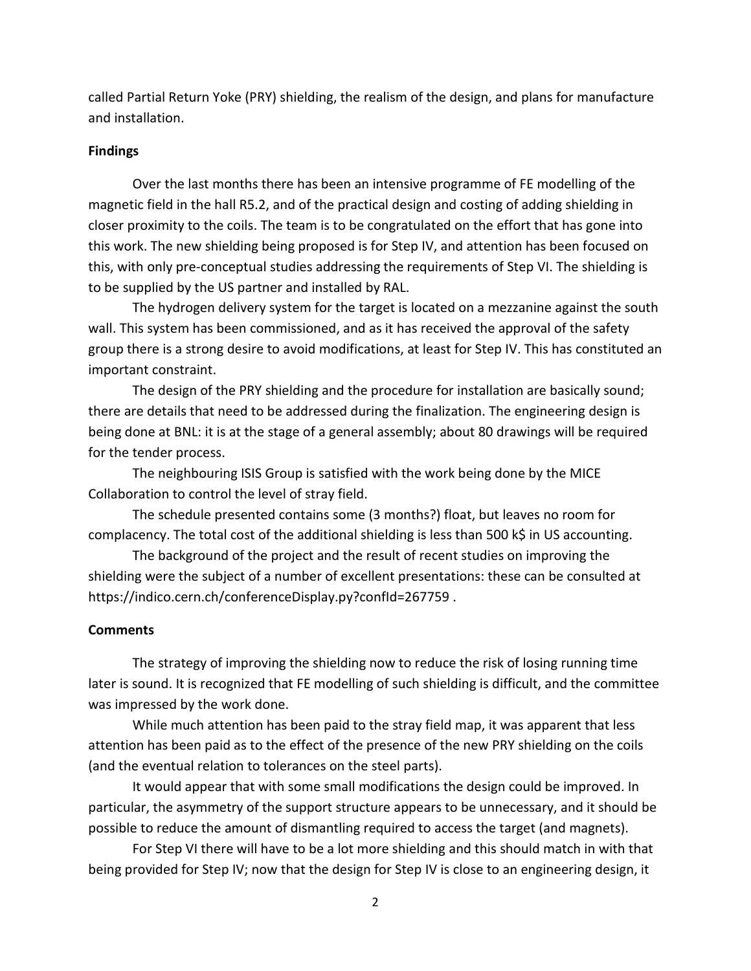called Partial Return Yoke (PRY) shielding, the realism of the design, and plans for manufacture and installation.

#### **Findings**

Over the last months there has been an intensive programme of FE modelling of the magnetic field in the hall R5.2, and of the practical design and costing of adding shielding in closer proximity to the coils. The team is to be congratulated on the effort that has gone into this work. The new shielding being proposed is for Step IV, and attention has been focused on this, with only pre-conceptual studies addressing the requirements of Step VI. The shielding is to be supplied by the US partner and installed by RAL.

The hydrogen delivery system for the target is located on a mezzanine against the south wall. This system has been commissioned, and as it has received the approval of the safety group there is a strong desire to avoid modifications, at least for Step IV. This has constituted an important constraint.

The design of the PRY shielding and the procedure for installation are basically sound; there are details that need to be addressed during the finalization. The engineering design is being done at BNL: it is at the stage of a general assembly; about 80 drawings will be required for the tender process.

The neighbouring ISIS Group is satisfied with the work being done by the MICE Collaboration to control the level of stray field.

The schedule presented contains some (3 months?) float, but leaves no room for complacency. The total cost of the additional shielding is less than 500 k\$ in US accounting.

The background of the project and the result of recent studies on improving the shielding were the subject of a number of excellent presentations: these can be consulted at https://indico.cern.ch/conferenceDisplay.py?confld=267759.

#### **Comments**

The strategy of improving the shielding now to reduce the risk of losing running time later is sound. It is recognized that FE modelling of such shielding is difficult, and the committee was impressed by the work done.

While much attention has been paid to the stray field map, it was apparent that less attention has been paid as to the effect of the presence of the new PRY shielding on the coils (and the eventual relation to tolerances on the steel parts).

It would appear that with some small modifications the design could be improved. In particular, the asymmetry of the support structure appears to be unnecessary, and it should be possible to reduce the amount of dismantling required to access the target (and magnets).

For Step VI there will have to be a lot more shielding and this should match in with that being provided for Step IV; now that the design for Step IV is close to an engineering design, it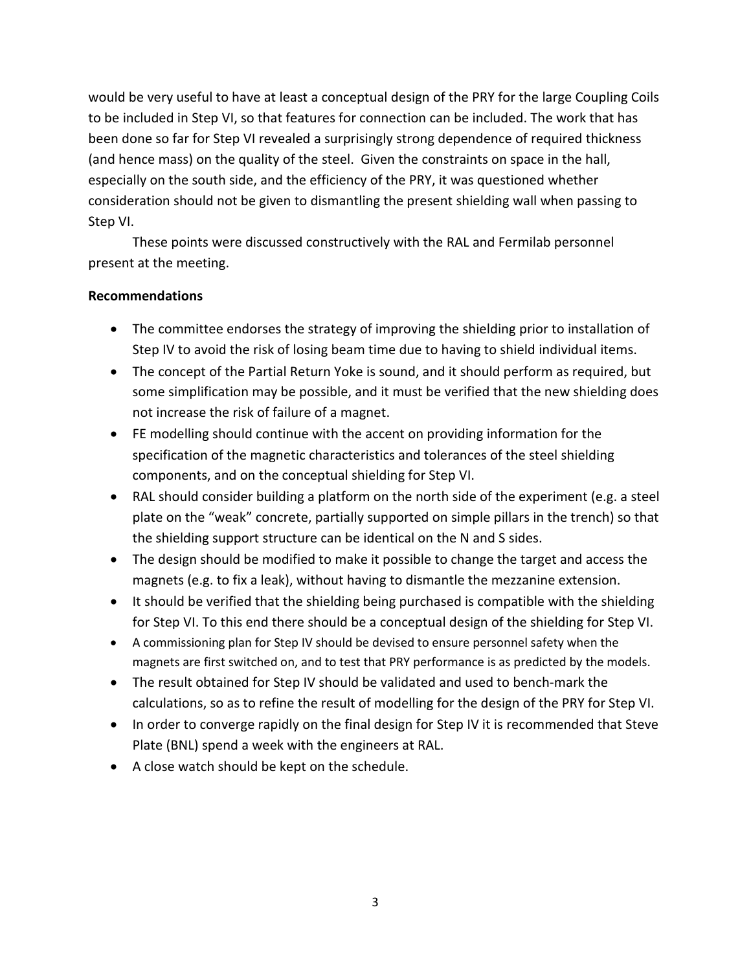would be very useful to have at least a conceptual design of the PRY for the large Coupling Coils to be included in Step VI, so that features for connection can be included. The work that has been done so far for Step VI revealed a surprisingly strong dependence of required thickness (and hence mass) on the quality of the steel. Given the constraints on space in the hall, especially on the south side, and the efficiency of the PRY, it was questioned whether consideration should not be given to dismantling the present shielding wall when passing to Step VI.

These points were discussed constructively with the RAL and Fermilab personnel present at the meeting.

## **Recommendations**

- The committee endorses the strategy of improving the shielding prior to installation of Step IV to avoid the risk of losing beam time due to having to shield individual items.
- The concept of the Partial Return Yoke is sound, and it should perform as required, but some simplification may be possible, and it must be verified that the new shielding does not increase the risk of failure of a magnet.
- FE modelling should continue with the accent on providing information for the specification of the magnetic characteristics and tolerances of the steel shielding components, and on the conceptual shielding for Step VI.
- RAL should consider building a platform on the north side of the experiment (e.g. a steel plate on the "weak" concrete, partially supported on simple pillars in the trench) so that the shielding support structure can be identical on the N and S sides.
- The design should be modified to make it possible to change the target and access the magnets (e.g. to fix a leak), without having to dismantle the mezzanine extension.
- It should be verified that the shielding being purchased is compatible with the shielding for Step VI. To this end there should be a conceptual design of the shielding for Step VI.
- A commissioning plan for Step IV should be devised to ensure personnel safety when the magnets are first switched on, and to test that PRY performance is as predicted by the models.
- The result obtained for Step IV should be validated and used to bench-mark the calculations, so as to refine the result of modelling for the design of the PRY for Step VI.
- In order to converge rapidly on the final design for Step IV it is recommended that Steve Plate (BNL) spend a week with the engineers at RAL.
- A close watch should be kept on the schedule.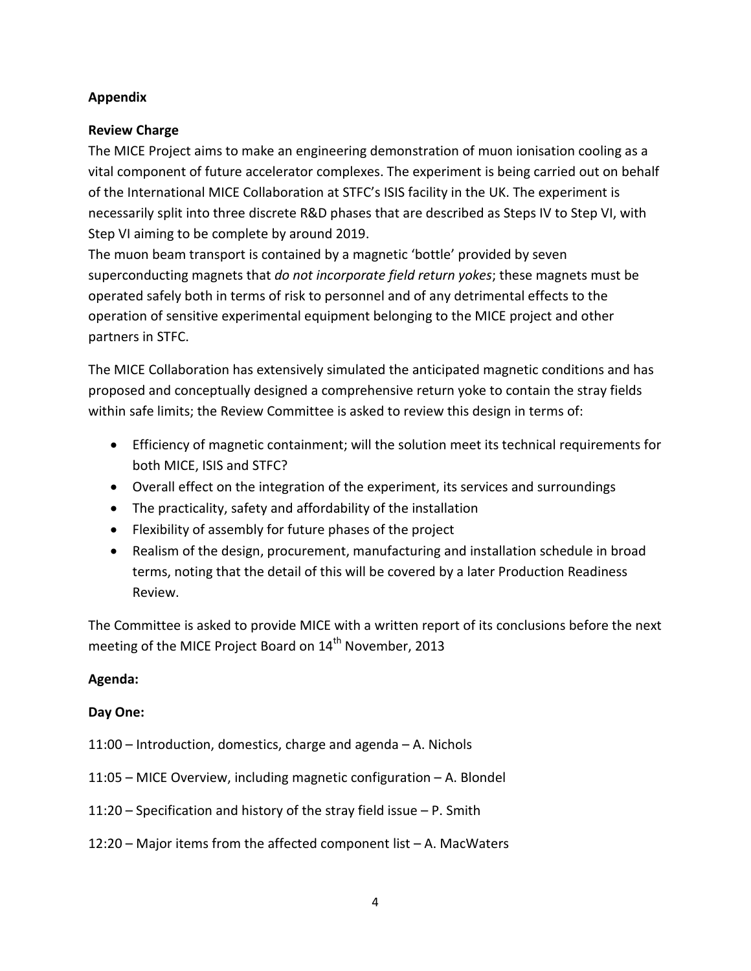## **Appendix**

## **Review Charge**

The MICE Project aims to make an engineering demonstration of muon ionisation cooling as a vital component of future accelerator complexes. The experiment is being carried out on behalf of the International MICE Collaboration at STFC's ISIS facility in the UK. The experiment is necessarily split into three discrete R&D phases that are described as Steps IV to Step VI, with Step VI aiming to be complete by around 2019.

The muon beam transport is contained by a magnetic 'bottle' provided by seven superconducting magnets that *do not incorporate field return yokes*; these magnets must be operated safely both in terms of risk to personnel and of any detrimental effects to the operation of sensitive experimental equipment belonging to the MICE project and other partners in STFC.

The MICE Collaboration has extensively simulated the anticipated magnetic conditions and has proposed and conceptually designed a comprehensive return yoke to contain the stray fields within safe limits; the Review Committee is asked to review this design in terms of:

- Efficiency of magnetic containment; will the solution meet its technical requirements for both MICE, ISIS and STFC?
- Overall effect on the integration of the experiment, its services and surroundings
- The practicality, safety and affordability of the installation
- Flexibility of assembly for future phases of the project
- Realism of the design, procurement, manufacturing and installation schedule in broad terms, noting that the detail of this will be covered by a later Production Readiness Review.

The Committee is asked to provide MICE with a written report of its conclusions before the next meeting of the MICE Project Board on 14<sup>th</sup> November, 2013

## **Agenda:**

## **Day One:**

- 11:00 Introduction, domestics, charge and agenda A. Nichols
- 11:05 MICE Overview, including magnetic configuration A. Blondel
- 11:20 Specification and history of the stray field issue P. Smith
- 12:20 Major items from the affected component list A. MacWaters